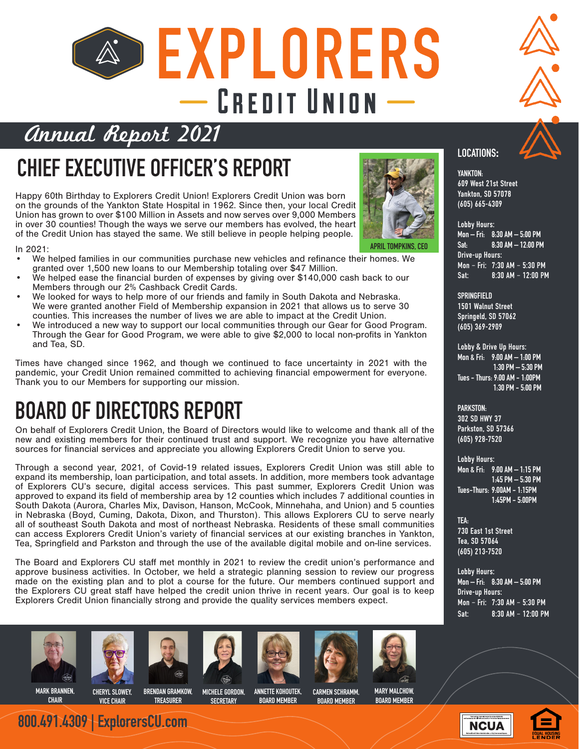## **&> EXPLORERS**  $-$  CREDIT UNION  $-$



#### Annual Report 2021

### **CHIEF EXECUTIVE OFFICER'S REPORT**

Happy 60th Birthday to Explorers Credit Union! Explorers Credit Union was born on the grounds of the Yankton State Hospital in 1962. Since then, your local Credit Union has grown to over \$100 Million in Assets and now serves over 9,000 Members in over 30 counties! Though the ways we serve our members has evolved, the heart of the Credit Union has stayed the same. We still believe in people helping people.



**APRIL TOMPKINS, CEO**

- In 2021: We helped families in our communities purchase new vehicles and refinance their homes. We granted over 1,500 new loans to our Membership totaling over \$47 Million.
- We helped ease the financial burden of expenses by giving over \$140,000 cash back to our Members through our 2% Cashback Credit Cards.
- We looked for ways to help more of our friends and family in South Dakota and Nebraska. We were granted another Field of Membership expansion in 2021 that allows us to serve 30 counties. This increases the number of lives we are able to impact at the Credit Union.
- We introduced a new way to support our local communities through our Gear for Good Program. Through the Gear for Good Program, we were able to give \$2,000 to local non-profits in Yankton and Tea, SD.

Times have changed since 1962, and though we continued to face uncertainty in 2021 with the pandemic, your Credit Union remained committed to achieving financial empowerment for everyone. Thank you to our Members for supporting our mission.

#### **BOARD OF DIRECTORS REPORT**

On behalf of Explorers Credit Union, the Board of Directors would like to welcome and thank all of the new and existing members for their continued trust and support. We recognize you have alternative sources for financial services and appreciate you allowing Explorers Credit Union to serve you.

Through a second year, 2021, of Covid-19 related issues, Explorers Credit Union was still able to expand its membership, loan participation, and total assets. In addition, more members took advantage of Explorers CU's secure, digital access services. This past summer, Explorers Credit Union was approved to expand its field of membership area by 12 counties which includes 7 additional counties in South Dakota (Aurora, Charles Mix, Davison, Hanson, McCook, Minnehaha, and Union) and 5 counties in Nebraska (Boyd, Cuming, Dakota, Dixon, and Thurston). This allows Explorers CU to serve nearly all of southeast South Dakota and most of northeast Nebraska. Residents of these small communities can access Explorers Credit Union's variety of financial services at our existing branches in Yankton, Tea, Springfield and Parkston and through the use of the available digital mobile and on-line services.

The Board and Explorers CU staff met monthly in 2021 to review the credit union's performance and approve business activities. In October, we held a strategic planning session to review our progress made on the existing plan and to plot a course for the future. Our members continued support and the Explorers CU great staff have helped the credit union thrive in recent years. Our goal is to keep Explorers Credit Union financially strong and provide the quality services members expect.





**800.491.4309 | ExplorersCU.com**





**IDING** 











**LOCATIONS**:

**YANKTON:** 609 West 21st Street Yankton, SD 57078 (605) 665-4309

Lobby Hours: **Mon – Fri: 8:30 AM – 5:00 PM Sat: 8:30 AM – 12:00 PM** Drive-up Hours: Mon – Fri: 7:30 AM – 5:30 PM Sat: 8:30 AM – 12:00 PM

**SPRINGFIELD** 1501 Walnut Street Springeld, SD 57062 (605) 369-2909

Lobby & Drive Up Hours: **Mon & Fri: 9:00 AM – 1:00 PM 1:30 PM – 5:30 PM Tues - Thurs: 9:00 AM - 1:00PM 1:30 PM - 5:00 PM**

**PARKSTON:** 302 SD HWY 37 Parkston, SD 57366 (605) 928-7520

Lobby Hours: **Mon & Fri: 9:00 AM – 1:15 PM 1:45 PM – 5:30 PM Tues-Thurs: 9:00AM - 1:15PM 1:45PM - 5:00PM**

**TEA:** 730 East 1st Street Tea, SD 57064 (605) 213-7520

Lobby Hours: **Mon – Fri: 8:30 AM – 5:00 PM** Drive-up Hours: Mon – Fri: 7:30 AM – 5:30 PM Sat: 8:30 AM – 12:00 PM

**MARK BRANNEN, CHAIR**

**CHERYL SLOWEY, VICE CHAIR**

**BRENDAN GRAMKOW, TREASURER**

**MICHELE GORDON, SECRETARY**

**ANNETTE KOHOUTEK, BOARD MEMBER**

**CARMEN SCHRAMM, BOARD MEMBER**

**MARY MALCHOW, BOARD MEMBER**

**NCUA**